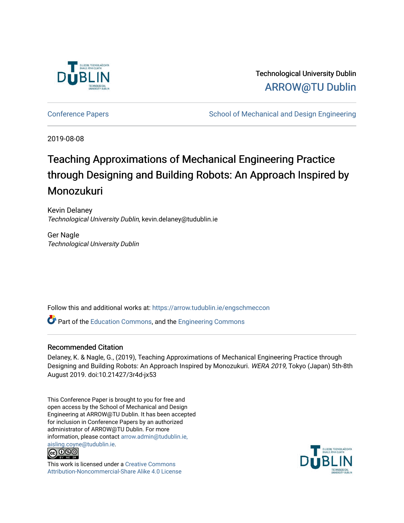

Technological University Dublin [ARROW@TU Dublin](https://arrow.tudublin.ie/) 

[Conference Papers](https://arrow.tudublin.ie/engschmeccon) **School of Mechanical and Design Engineering** School of Mechanical and Design Engineering

2019-08-08

# Teaching Approximations of Mechanical Engineering Practice through Designing and Building Robots: An Approach Inspired by Monozukuri

Kevin Delaney Technological University Dublin, kevin.delaney@tudublin.ie

Ger Nagle Technological University Dublin

Follow this and additional works at: [https://arrow.tudublin.ie/engschmeccon](https://arrow.tudublin.ie/engschmeccon?utm_source=arrow.tudublin.ie%2Fengschmeccon%2F76&utm_medium=PDF&utm_campaign=PDFCoverPages) 

Part of the [Education Commons](http://network.bepress.com/hgg/discipline/784?utm_source=arrow.tudublin.ie%2Fengschmeccon%2F76&utm_medium=PDF&utm_campaign=PDFCoverPages), and the [Engineering Commons](http://network.bepress.com/hgg/discipline/217?utm_source=arrow.tudublin.ie%2Fengschmeccon%2F76&utm_medium=PDF&utm_campaign=PDFCoverPages)

#### Recommended Citation

Delaney, K. & Nagle, G., (2019), Teaching Approximations of Mechanical Engineering Practice through Designing and Building Robots: An Approach Inspired by Monozukuri. WERA 2019, Tokyo (Japan) 5th-8th August 2019. doi:10.21427/3r4d-jx53

This Conference Paper is brought to you for free and open access by the School of Mechanical and Design Engineering at ARROW@TU Dublin. It has been accepted for inclusion in Conference Papers by an authorized administrator of ARROW@TU Dublin. For more information, please contact [arrow.admin@tudublin.ie,](mailto:arrow.admin@tudublin.ie,%20aisling.coyne@tudublin.ie)  [aisling.coyne@tudublin.ie.](mailto:arrow.admin@tudublin.ie,%20aisling.coyne@tudublin.ie)<br>© 090



This work is licensed under a [Creative Commons](http://creativecommons.org/licenses/by-nc-sa/4.0/) [Attribution-Noncommercial-Share Alike 4.0 License](http://creativecommons.org/licenses/by-nc-sa/4.0/)

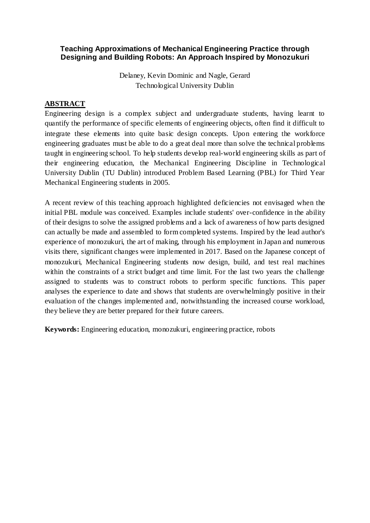# **Teaching Approximations of Mechanical Engineering Practice through Designing and Building Robots: An Approach Inspired by Monozukuri**

Delaney, Kevin Dominic and Nagle, Gerard Technological University Dublin

# **ABSTRACT**

Engineering design is a complex subject and undergraduate students, having learnt to quantify the performance of specific elements of engineering objects, often find it difficult to integrate these elements into quite basic design concepts. Upon entering the workforce engineering graduates must be able to do a great deal more than solve the technical problems taught in engineering school. To help students develop real-world engineering skills as part of their engineering education, the Mechanical Engineering Discipline in Technological University Dublin (TU Dublin) introduced Problem Based Learning (PBL) for Third Year Mechanical Engineering students in 2005.

A recent review of this teaching approach highlighted deficiencies not envisaged when the initial PBL module was conceived. Examples include students' over-confidence in the ability of their designs to solve the assigned problems and a lack of awareness of how parts designed can actually be made and assembled to form completed systems. Inspired by the lead author's experience of monozukuri, the art of making, through his employment in Japan and numerous visits there, significant changes were implemented in 2017. Based on the Japanese concept of monozukuri, Mechanical Engineering students now design, build, and test real machines within the constraints of a strict budget and time limit. For the last two years the challenge assigned to students was to construct robots to perform specific functions. This paper analyses the experience to date and shows that students are overwhelmingly positive in their evaluation of the changes implemented and, notwithstanding the increased course workload, they believe they are better prepared for their future careers.

**Keywords:** Engineering education, monozukuri, engineering practice, robots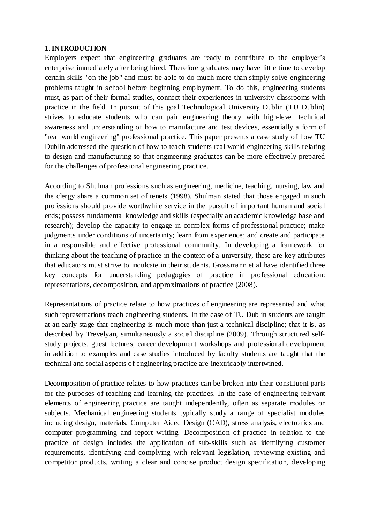#### **1. INTRODUCTION**

Employers expect that engineering graduates are ready to contribute to the employer's enterprise immediately after being hired. Therefore graduates may have little time to develop certain skills "on the job" and must be able to do much more than simply solve engineering problems taught in school before beginning employment. To do this, engineering students must, as part of their formal studies, connect their experiences in university classrooms with practice in the field. In pursuit of this goal Technological University Dublin (TU Dublin) strives to educate students who can pair engineering theory with high-level technical awareness and understanding of how to manufacture and test devices, essentially a form of "real world engineering" professional practice. This paper presents a case study of how TU Dublin addressed the question of how to teach students real world engineering skills relating to design and manufacturing so that engineering graduates can be more effectively prepared for the challenges of professional engineering practice.

According to Shulman professions such as engineering, medicine, teaching, nursing, law and the clergy share a common set of tenets (1998). Shulman stated that those engaged in such professions should provide worthwhile service in the pursuit of important human and social ends; possess fundamental knowledge and skills (especially an academic knowledge base and research); develop the capacity to engage in complex forms of professional practice; make judgments under conditions of uncertainty; learn from experience; and create and participate in a responsible and effective professional community. In developing a framework for thinking about the teaching of practice in the context of a university, these are key attributes that educators must strive to inculcate in their students. Grossmann et al have identified three key concepts for understanding pedagogies of practice in professional education: representations, decomposition, and approximations of practice (2008).

Representations of practice relate to how practices of engineering are represented and what such representations teach engineering students. In the case of TU Dublin students are taught at an early stage that engineering is much more than just a technical discipline; that it is, as described by Trevelyan, simultaneously a social discipline (2009). Through structured selfstudy projects, guest lectures, career development workshops and professional development in addition to examples and case studies introduced by faculty students are taught that the technical and social aspects of engineering practice are inextricably intertwined.

Decomposition of practice relates to how practices can be broken into their constituent parts for the purposes of teaching and learning the practices. In the case of engineering relevant elements of engineering practice are taught independently, often as separate modules or subjects. Mechanical engineering students typically study a range of specialist modules including design, materials, Computer Aided Design (CAD), stress analysis, electronics and computer programming and report writing. Decomposition of practice in relation to the practice of design includes the application of sub-skills such as identifying customer requirements, identifying and complying with relevant legislation, reviewing existing and competitor products, writing a clear and concise product design specification, developing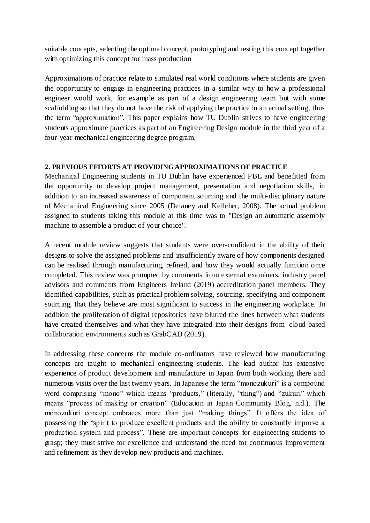suitable concepts, selecting the optimal concept, prototyping and testing this concept together with optimizing this concept for mass production

Approximations of practice relate to simulated real world conditions where students are given the opportunity to engage in engineering practices in a similar way to how a professional engineer would work, for example as part of a design engineering team but with some scaffolding so that they do not have the risk of applying the practice in an actual setting, thus the term "approximation". This paper explains how TU Dublin strives to have engineering students approximate practices as part of an Engineering Design module in the third year of a four-year mechanical engineering degree program.

## **2. PREVIOUS EFFORTS AT PROVIDING APPROXIMATIONS OF PRACTICE**

Mechanical Engineering students in TU Dublin have experienced PBL and benefitted from the opportunity to develop project management, presentation and negotiation skills, in addition to an increased awareness of component sourcing and the multi-disciplinary nature of Mechanical Engineering since 2005 (Delaney and Kelleher, 2008). The actual problem assigned to students taking this module at this time was to "Design an automatic assembly machine to assemble a product of your choice".

A recent module review suggests that students were over-confident in the ability of their designs to solve the assigned problems and insufficiently aware of how components designed can be realised through manufacturing, refined, and how they would actually function once completed. This review was prompted by comments from external examiners, industry panel advisors and comments from Engineers Ireland (2019) accreditation panel members. They identified capabilities, such as practical problem solving, sourcing, specifying and component sourcing, that they believe are most significant to success in the engineering workplace. In addition the proliferation of digital repositories have blurred the lines between what students have created themselves and what they have integrated into their designs from cloud-based collaboration environments such as GrabCAD (2019).

In addressing these concerns the module co-ordinators have reviewed how manufacturing concepts are taught to mechanical engineering students. The lead author has extensive experience of product development and manufacture in Japan from both working there a nd numerous visits over the last twenty years. In Japanese the term "monozukuri" is a compound word comprising "mono" which means "products," (literally, "thing") and "zukuri" which means "process of making or creation" (Education in Japan Community Blog, n.d.). The monozukuri concept embraces more than just "making things". It offers the idea of possessing the "spirit to produce excellent products and the ability to constantly improve a production system and process". These are important concepts for engineering students to grasp; they must strive for excellence and understand the need for continuous improvement and refinement as they develop new products and machines.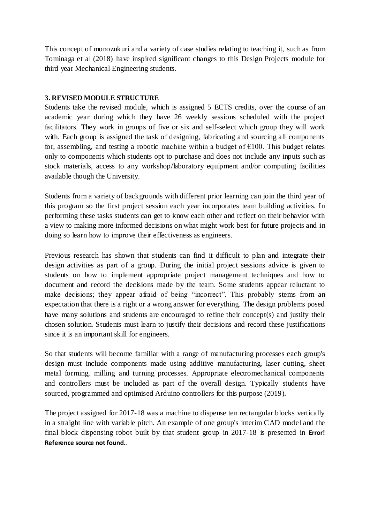This concept of monozukuri and a variety of case studies relating to teaching it, such as from Tominaga et al (2018) have inspired significant changes to this Design Projects module for third year Mechanical Engineering students.

### **3. REVISED MODULE STRUCTURE**

Students take the revised module, which is assigned 5 ECTS credits, over the course of an academic year during which they have 26 weekly sessions scheduled with the project facilitators. They work in groups of five or six and self-select which group they will work with. Each group is assigned the task of designing, fabricating and sourcing all components for, assembling, and testing a robotic machine within a budget of  $E100$ . This budget relates only to components which students opt to purchase and does not include any inputs such as stock materials, access to any workshop/laboratory equipment and/or computing facilities available though the University.

Students from a variety of backgrounds with different prior learning can join the third year of this program so the first project session each year incorporates team building activities. In performing these tasks students can get to know each other and reflect on their behavior with a view to making more informed decisions on what might work best for future projects and in doing so learn how to improve their effectiveness as engineers.

Previous research has shown that students can find it difficult to plan and integrate their design activities as part of a group. During the initial project sessions advice is given to students on how to implement appropriate project management techniques and how to document and record the decisions made by the team. Some students appear reluctant to make decisions; they appear afraid of being "incorrect". This probably stems from an expectation that there is a right or a wrong answer for everything. The design problems posed have many solutions and students are encouraged to refine their concept(s) and justify their chosen solution. Students must learn to justify their decisions and record these justifications since it is an important skill for engineers.

So that students will become familiar with a range of manufacturing processes each group's design must include components made using additive manufacturing, laser cutting, sheet metal forming, milling and turning processes. Appropriate electromechanical components and controllers must be included as part of the overall design. Typically students have sourced, programmed and optimised Arduino controllers for this purpose (2019).

The project assigned for 2017-18 was a machine to dispense ten rectangular blocks vertically in a straight line with variable pitch. An example of one group's interim CAD model and the final block dispensing robot built by that student group in 2017-18 is presented in **Error! Reference source not found.**.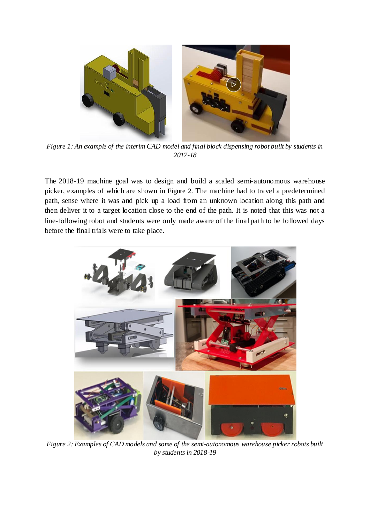

*Figure 1: An example of the interim CAD model and final block dispensing robot built by students in 2017-18*

The 2018-19 machine goal was to design and build a scaled semi-autonomous warehouse picker, examples of which are shown in [Figure 2](#page-5-0). The machine had to travel a predetermined path, sense where it was and pick up a load from an unknown location along this path and then deliver it to a target location close to the end of the path. It is noted that this was not a line-following robot and students were only made aware of the final path to be followed days before the final trials were to take place.

<span id="page-5-0"></span>

*Figure 2: Examples of CAD models and some of the semi-autonomous warehouse picker robots built by students in 2018-19*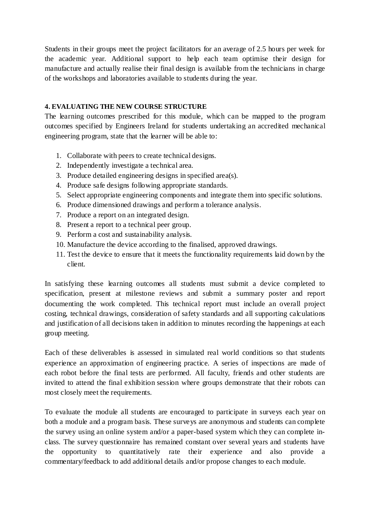Students in their groups meet the project facilitators for an average of 2.5 hours per week for the academic year. Additional support to help each team optimise their design for manufacture and actually realise their final design is available from the technicians in charge of the workshops and laboratories available to students during the year.

## **4. EVALUATING THE NEW COURSE STRUCTURE**

The learning outcomes prescribed for this module, which can be mapped to the program outcomes specified by Engineers Ireland for students undertaking an accredited mechanical engineering program, state that the learner will be able to:

- 1. Collaborate with peers to create technical designs.
- 2. Independently investigate a technical area.
- 3. Produce detailed engineering designs in specified area(s).
- 4. Produce safe designs following appropriate standards.
- 5. Select appropriate engineering components and integrate them into specific solutions.
- 6. Produce dimensioned drawings and perform a tolerance analysis.
- 7. Produce a report on an integrated design.
- 8. Present a report to a technical peer group.
- 9. Perform a cost and sustainability analysis.
- 10. Manufacture the device according to the finalised, approved drawings.
- 11. Test the device to ensure that it meets the functionality requirements laid down by the client.

In satisfying these learning outcomes all students must submit a device completed to specification, present at milestone reviews and submit a summary poster and report documenting the work completed. This technical report must include an overall project costing, technical drawings, consideration of safety standards and all supporting calculations and justification of all decisions taken in addition to minutes recording the happenings at each group meeting.

Each of these deliverables is assessed in simulated real world conditions so that students experience an approximation of engineering practice. A series of inspections are made of each robot before the final tests are performed. All faculty, friends and other students are invited to attend the final exhibition session where groups demonstrate that their robots can most closely meet the requirements.

To evaluate the module all students are encouraged to participate in surveys each year on both a module and a program basis. These surveys are anonymous and students can complete the survey using an online system and/or a paper-based system which they can complete inclass. The survey questionnaire has remained constant over several years and students have the opportunity to quantitatively rate their experience and also provide a commentary/feedback to add additional details and/or propose changes to each module.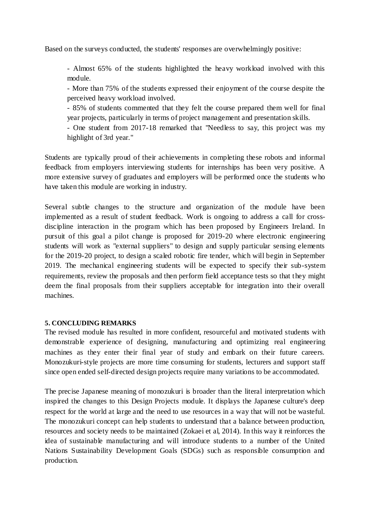Based on the surveys conducted, the students' responses are overwhelmingly positive:

- Almost 65% of the students highlighted the heavy workload involved with this module.

- More than 75% of the students expressed their enjoyment of the course despite the perceived heavy workload involved.

- 85% of students commented that they felt the course prepared them well for final year projects, particularly in terms of project management and presentation skills.

- One student from 2017-18 remarked that "Needless to say, this project was my highlight of 3rd year."

Students are typically proud of their achievements in completing these robots and informal feedback from employers interviewing students for internships has been very positive. A more extensive survey of graduates and employers will be performed once the students who have taken this module are working in industry.

Several subtle changes to the structure and organization of the module have been implemented as a result of student feedback. Work is ongoing to address a call for crossdiscipline interaction in the program which has been proposed by Engineers Ireland. In pursuit of this goal a pilot change is proposed for 2019-20 where electronic engineering students will work as "external suppliers" to design and supply particular sensing elements for the 2019-20 project, to design a scaled robotic fire tender, which will begin in September 2019. The mechanical engineering students will be expected to specify their sub-system requirements, review the proposals and then perform field acceptance tests so that they might deem the final proposals from their suppliers acceptable for integration into their overall machines.

#### **5. CONCLUDING REMARKS**

The revised module has resulted in more confident, resourceful and motivated students with demonstrable experience of designing, manufacturing and optimizing real engineering machines as they enter their final year of study and embark on their future careers. Monozukuri-style projects are more time consuming for students, lecturers and support staff since open ended self-directed design projects require many variations to be accommodated.

The precise Japanese meaning of monozukuri is broader than the literal interpretation which inspired the changes to this Design Projects module. It displays the Japanese culture's deep respect for the world at large and the need to use resources in a way that will not be wasteful. The monozukuri concept can help students to understand that a balance between production, resources and society needs to be maintained (Zokaei et al, 2014). In this way it reinforces the idea of sustainable manufacturing and will introduce students to a number of the United Nations Sustainability Development Goals (SDGs) such as responsible consumption and production.